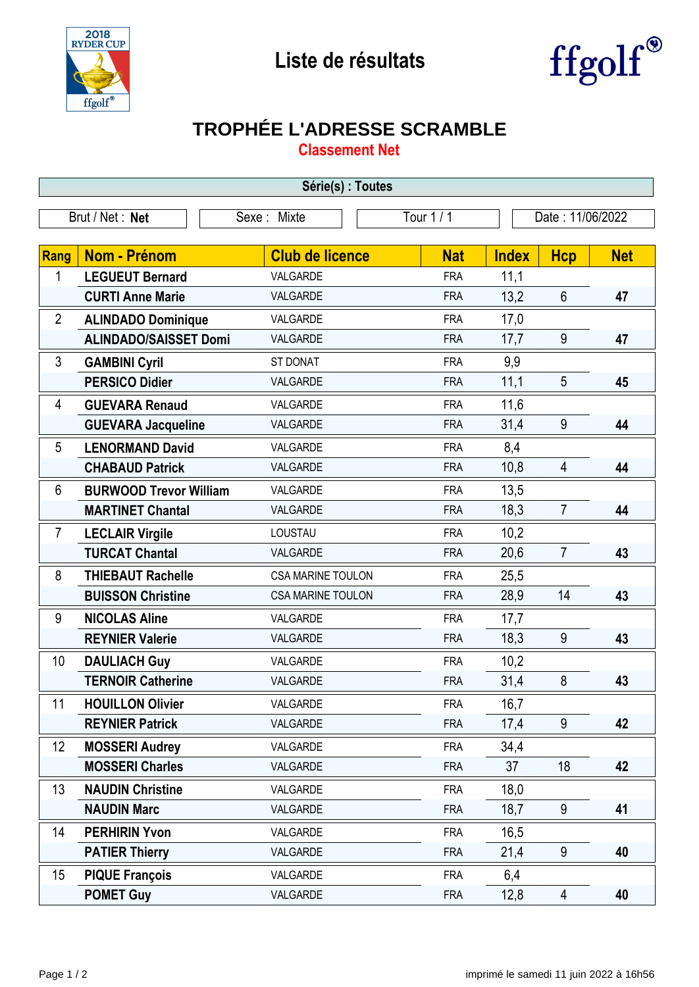



## **TROPHÉE L'ADRESSE SCRAMBLE**

**Classement Net**

| Série(s) : Toutes              |                               |                          |            |                  |                |            |  |  |  |  |
|--------------------------------|-------------------------------|--------------------------|------------|------------------|----------------|------------|--|--|--|--|
| Brut / Net: Net<br>Sexe: Mixte |                               |                          | Tour 1 / 1 | Date: 11/06/2022 |                |            |  |  |  |  |
|                                |                               |                          |            |                  |                |            |  |  |  |  |
| <b>Rang</b>                    | <b>Nom - Prénom</b>           | <b>Club de licence</b>   | <b>Nat</b> | <b>Index</b>     | <b>Hcp</b>     | <b>Net</b> |  |  |  |  |
| 1                              | <b>LEGUEUT Bernard</b>        | VALGARDE                 | <b>FRA</b> | 11,1             |                |            |  |  |  |  |
|                                | <b>CURTI Anne Marie</b>       | VALGARDE                 | <b>FRA</b> | 13,2             | $6\phantom{1}$ | 47         |  |  |  |  |
| $\overline{2}$                 | <b>ALINDADO Dominique</b>     | VALGARDE                 | <b>FRA</b> | 17,0             |                |            |  |  |  |  |
|                                | <b>ALINDADO/SAISSET Domi</b>  | VALGARDE                 | <b>FRA</b> | 17,7             | 9              | 47         |  |  |  |  |
| 3                              | <b>GAMBINI Cyril</b>          | ST DONAT                 | <b>FRA</b> | 9,9              |                |            |  |  |  |  |
|                                | <b>PERSICO Didier</b>         | VALGARDE                 | <b>FRA</b> | 11,1             | 5              | 45         |  |  |  |  |
| 4                              | <b>GUEVARA Renaud</b>         | VALGARDE                 | <b>FRA</b> | 11,6             |                |            |  |  |  |  |
|                                | <b>GUEVARA Jacqueline</b>     | VALGARDE                 | <b>FRA</b> | 31,4             | 9              | 44         |  |  |  |  |
| 5                              | <b>LENORMAND David</b>        | VALGARDE                 | <b>FRA</b> | 8,4              |                |            |  |  |  |  |
|                                | <b>CHABAUD Patrick</b>        | VALGARDE                 | <b>FRA</b> | 10,8             | 4              | 44         |  |  |  |  |
| 6                              | <b>BURWOOD Trevor William</b> | VALGARDE                 | <b>FRA</b> | 13,5             |                |            |  |  |  |  |
|                                | <b>MARTINET Chantal</b>       | VALGARDE                 | <b>FRA</b> | 18,3             | $\overline{7}$ | 44         |  |  |  |  |
| $\overline{7}$                 | <b>LECLAIR Virgile</b>        | LOUSTAU                  | <b>FRA</b> | 10,2             |                |            |  |  |  |  |
|                                | <b>TURCAT Chantal</b>         | VALGARDE                 | <b>FRA</b> | 20,6             | $\overline{7}$ | 43         |  |  |  |  |
| 8                              | <b>THIEBAUT Rachelle</b>      | <b>CSA MARINE TOULON</b> | <b>FRA</b> | 25,5             |                |            |  |  |  |  |
|                                | <b>BUISSON Christine</b>      | <b>CSA MARINE TOULON</b> | <b>FRA</b> | 28,9             | 14             | 43         |  |  |  |  |
| 9                              | <b>NICOLAS Aline</b>          | VALGARDE                 | <b>FRA</b> | 17,7             |                |            |  |  |  |  |
|                                | <b>REYNIER Valerie</b>        | VALGARDE                 | <b>FRA</b> | 18,3             | 9              | 43         |  |  |  |  |
| 10                             | <b>DAULIACH Guy</b>           | VALGARDE                 | <b>FRA</b> | 10,2             |                |            |  |  |  |  |
|                                | <b>TERNOIR Catherine</b>      | VALGARDE                 | <b>FRA</b> | 31,4             | 8              | 43         |  |  |  |  |
| 11                             | <b>HOUILLON Olivier</b>       | VALGARDE                 | <b>FRA</b> | 16,7             |                |            |  |  |  |  |
|                                | <b>REYNIER Patrick</b>        | VALGARDE                 | <b>FRA</b> | 17,4             | 9              | 42         |  |  |  |  |
| 12                             | <b>MOSSERI Audrey</b>         | VALGARDE                 | <b>FRA</b> | 34,4             |                |            |  |  |  |  |
|                                | <b>MOSSERI Charles</b>        | VALGARDE                 | <b>FRA</b> | 37               | 18             | 42         |  |  |  |  |
| 13                             | <b>NAUDIN Christine</b>       | VALGARDE                 | <b>FRA</b> | 18,0             |                |            |  |  |  |  |
|                                | <b>NAUDIN Marc</b>            | VALGARDE                 | <b>FRA</b> | 18,7             | 9              | 41         |  |  |  |  |
| 14                             | <b>PERHIRIN Yvon</b>          | VALGARDE                 | <b>FRA</b> | 16,5             |                |            |  |  |  |  |
|                                | <b>PATIER Thierry</b>         | VALGARDE                 | <b>FRA</b> | 21,4             | 9              | 40         |  |  |  |  |
| 15 <sub>2</sub>                | <b>PIQUE François</b>         | VALGARDE                 | <b>FRA</b> | 6,4              |                |            |  |  |  |  |
|                                | <b>POMET Guy</b>              | VALGARDE                 | <b>FRA</b> | 12,8             | 4              | 40         |  |  |  |  |